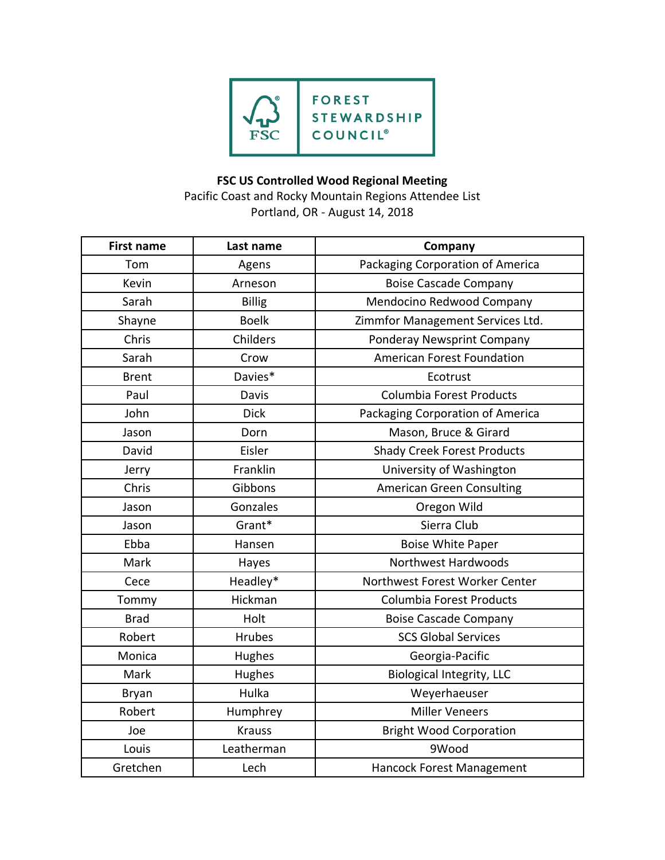

## **FSC US Controlled Wood Regional Meeting**

Pacific Coast and Rocky Mountain Regions Attendee List Portland, OR - August 14, 2018

| <b>First name</b> | Last name     | Company                            |
|-------------------|---------------|------------------------------------|
| Tom               | Agens         | Packaging Corporation of America   |
| Kevin             | Arneson       | <b>Boise Cascade Company</b>       |
| Sarah             | <b>Billig</b> | Mendocino Redwood Company          |
| Shayne            | <b>Boelk</b>  | Zimmfor Management Services Ltd.   |
| Chris             | Childers      | Ponderay Newsprint Company         |
| Sarah             | Crow          | <b>American Forest Foundation</b>  |
| <b>Brent</b>      | Davies*       | Ecotrust                           |
| Paul              | Davis         | Columbia Forest Products           |
| John              | <b>Dick</b>   | Packaging Corporation of America   |
| Jason             | Dorn          | Mason, Bruce & Girard              |
| David             | Eisler        | <b>Shady Creek Forest Products</b> |
| Jerry             | Franklin      | University of Washington           |
| Chris             | Gibbons       | <b>American Green Consulting</b>   |
| Jason             | Gonzales      | Oregon Wild                        |
| Jason             | Grant*        | Sierra Club                        |
| Ebba              | Hansen        | <b>Boise White Paper</b>           |
| Mark              | Hayes         | <b>Northwest Hardwoods</b>         |
| Cece              | Headley*      | Northwest Forest Worker Center     |
| Tommy             | Hickman       | Columbia Forest Products           |
| <b>Brad</b>       | Holt          | <b>Boise Cascade Company</b>       |
| Robert            | Hrubes        | <b>SCS Global Services</b>         |
| Monica            | Hughes        | Georgia-Pacific                    |
| Mark              | Hughes        | <b>Biological Integrity, LLC</b>   |
| <b>Bryan</b>      | Hulka         | Weyerhaeuser                       |
| Robert            | Humphrey      | <b>Miller Veneers</b>              |
| Joe               | <b>Krauss</b> | <b>Bright Wood Corporation</b>     |
| Louis             | Leatherman    | 9Wood                              |
| Gretchen          | Lech          | Hancock Forest Management          |